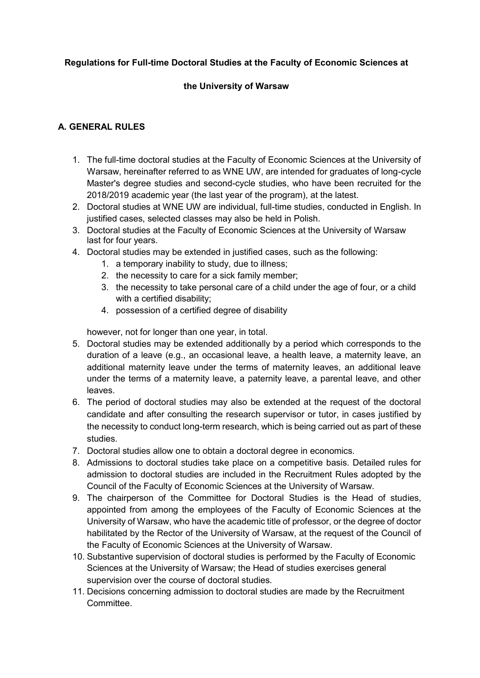#### **Regulations for Full-time Doctoral Studies at the Faculty of Economic Sciences at**

#### **the University of Warsaw**

#### **A. GENERAL RULES**

- 1. The full-time doctoral studies at the Faculty of Economic Sciences at the University of Warsaw, hereinafter referred to as WNE UW, are intended for graduates of long-cycle Master's degree studies and second-cycle studies, who have been recruited for the 2018/2019 academic year (the last year of the program), at the latest.
- 2. Doctoral studies at WNE UW are individual, full-time studies, conducted in English. In justified cases, selected classes may also be held in Polish.
- 3. Doctoral studies at the Faculty of Economic Sciences at the University of Warsaw last for four years.
- 4. Doctoral studies may be extended in justified cases, such as the following:
	- 1. a temporary inability to study, due to illness;
	- 2. the necessity to care for a sick family member;
	- 3. the necessity to take personal care of a child under the age of four, or a child with a certified disability;
	- 4. possession of a certified degree of disability

however, not for longer than one year, in total.

- 5. Doctoral studies may be extended additionally by a period which corresponds to the duration of a leave (e.g., an occasional leave, a health leave, a maternity leave, an additional maternity leave under the terms of maternity leaves, an additional leave under the terms of a maternity leave, a paternity leave, a parental leave, and other leaves.
- 6. The period of doctoral studies may also be extended at the request of the doctoral candidate and after consulting the research supervisor or tutor, in cases justified by the necessity to conduct long-term research, which is being carried out as part of these studies.
- 7. Doctoral studies allow one to obtain a doctoral degree in economics.
- 8. Admissions to doctoral studies take place on a competitive basis. Detailed rules for admission to doctoral studies are included in the Recruitment Rules adopted by the Council of the Faculty of Economic Sciences at the University of Warsaw.
- 9. The chairperson of the Committee for Doctoral Studies is the Head of studies, appointed from among the employees of the Faculty of Economic Sciences at the University of Warsaw, who have the academic title of professor, or the degree of doctor habilitated by the Rector of the University of Warsaw, at the request of the Council of the Faculty of Economic Sciences at the University of Warsaw.
- 10. Substantive supervision of doctoral studies is performed by the Faculty of Economic Sciences at the University of Warsaw; the Head of studies exercises general supervision over the course of doctoral studies.
- 11. Decisions concerning admission to doctoral studies are made by the Recruitment Committee.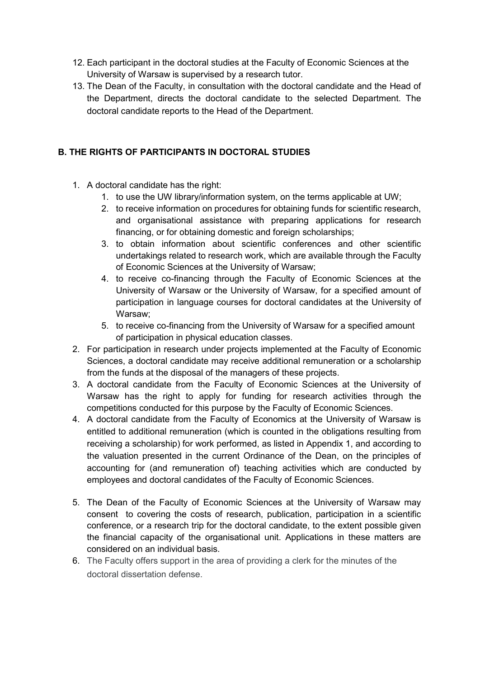- 12. Each participant in the doctoral studies at the Faculty of Economic Sciences at the University of Warsaw is supervised by a research tutor.
- 13. The Dean of the Faculty, in consultation with the doctoral candidate and the Head of the Department, directs the doctoral candidate to the selected Department. The doctoral candidate reports to the Head of the Department.

## **B. THE RIGHTS OF PARTICIPANTS IN DOCTORAL STUDIES**

- 1. A doctoral candidate has the right:
	- 1. to use the UW library/information system, on the terms applicable at UW;
	- 2. to receive information on procedures for obtaining funds for scientific research, and organisational assistance with preparing applications for research financing, or for obtaining domestic and foreign scholarships;
	- 3. to obtain information about scientific conferences and other scientific undertakings related to research work, which are available through the Faculty of Economic Sciences at the University of Warsaw;
	- 4. to receive co-financing through the Faculty of Economic Sciences at the University of Warsaw or the University of Warsaw, for a specified amount of participation in language courses for doctoral candidates at the University of Warsaw;
	- 5. to receive co-financing from the University of Warsaw for a specified amount of participation in physical education classes.
- 2. For participation in research under projects implemented at the Faculty of Economic Sciences, a doctoral candidate may receive additional remuneration or a scholarship from the funds at the disposal of the managers of these projects.
- 3. A doctoral candidate from the Faculty of Economic Sciences at the University of Warsaw has the right to apply for funding for research activities through the competitions conducted for this purpose by the Faculty of Economic Sciences.
- 4. A doctoral candidate from the Faculty of Economics at the University of Warsaw is entitled to additional remuneration (which is counted in the obligations resulting from receiving a scholarship) for work performed, as listed in Appendix 1, and according to the valuation presented in the current Ordinance of the Dean, on the principles of accounting for (and remuneration of) teaching activities which are conducted by employees and doctoral candidates of the Faculty of Economic Sciences.
- 5. The Dean of the Faculty of Economic Sciences at the University of Warsaw may consent to covering the costs of research, publication, participation in a scientific conference, or a research trip for the doctoral candidate, to the extent possible given the financial capacity of the organisational unit. Applications in these matters are considered on an individual basis.
- 6. The Faculty offers support in the area of providing a clerk for the minutes of the doctoral dissertation defense.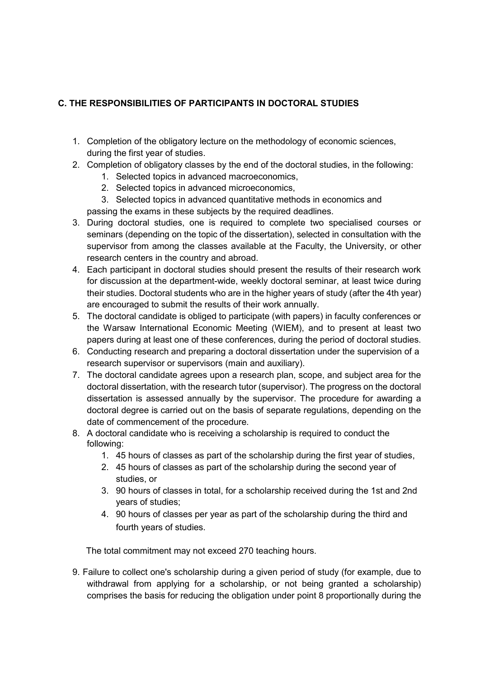## **C. THE RESPONSIBILITIES OF PARTICIPANTS IN DOCTORAL STUDIES**

- 1. Completion of the obligatory lecture on the methodology of economic sciences, during the first year of studies.
- 2. Completion of obligatory classes by the end of the doctoral studies, in the following:
	- 1. Selected topics in advanced macroeconomics,
	- 2. Selected topics in advanced microeconomics,
	- 3. Selected topics in advanced quantitative methods in economics and
	- passing the exams in these subjects by the required deadlines.
- 3. During doctoral studies, one is required to complete two specialised courses or seminars (depending on the topic of the dissertation), selected in consultation with the supervisor from among the classes available at the Faculty, the University, or other research centers in the country and abroad.
- 4. Each participant in doctoral studies should present the results of their research work for discussion at the department-wide, weekly doctoral seminar, at least twice during their studies. Doctoral students who are in the higher years of study (after the 4th year) are encouraged to submit the results of their work annually.
- 5. The doctoral candidate is obliged to participate (with papers) in faculty conferences or the Warsaw International Economic Meeting (WIEM), and to present at least two papers during at least one of these conferences, during the period of doctoral studies.
- 6. Conducting research and preparing a doctoral dissertation under the supervision of a research supervisor or supervisors (main and auxiliary).
- 7. The doctoral candidate agrees upon a research plan, scope, and subject area for the doctoral dissertation, with the research tutor (supervisor). The progress on the doctoral dissertation is assessed annually by the supervisor. The procedure for awarding a doctoral degree is carried out on the basis of separate regulations, depending on the date of commencement of the procedure.
- 8. A doctoral candidate who is receiving a scholarship is required to conduct the following:
	- 1. 45 hours of classes as part of the scholarship during the first year of studies,
	- 2. 45 hours of classes as part of the scholarship during the second year of studies, or
	- 3. 90 hours of classes in total, for a scholarship received during the 1st and 2nd years of studies;
	- 4. 90 hours of classes per year as part of the scholarship during the third and fourth years of studies.

The total commitment may not exceed 270 teaching hours.

9. Failure to collect one's scholarship during a given period of study (for example, due to withdrawal from applying for a scholarship, or not being granted a scholarship) comprises the basis for reducing the obligation under point 8 proportionally during the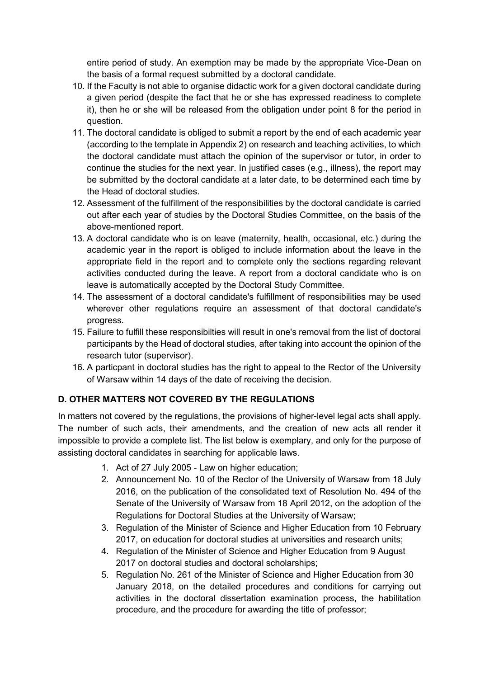entire period of study. An exemption may be made by the appropriate Vice-Dean on the basis of a formal request submitted by a doctoral candidate.

- 10. If the Faculty is not able to organise didactic work for a given doctoral candidate during a given period (despite the fact that he or she has expressed readiness to complete it), then he or she will be released from the obligation under point 8 for the period in question.
- 11. The doctoral candidate is obliged to submit a report by the end of each academic year (according to the template in Appendix 2) on research and teaching activities, to which the doctoral candidate must attach the opinion of the supervisor or tutor, in order to continue the studies for the next year. In justified cases (e.g., illness), the report may be submitted by the doctoral candidate at a later date, to be determined each time by the Head of doctoral studies.
- 12. Assessment of the fulfillment of the responsibilities by the doctoral candidate is carried out after each year of studies by the Doctoral Studies Committee, on the basis of the above-mentioned report.
- 13. A doctoral candidate who is on leave (maternity, health, occasional, etc.) during the academic year in the report is obliged to include information about the leave in the appropriate field in the report and to complete only the sections regarding relevant activities conducted during the leave. A report from a doctoral candidate who is on leave is automatically accepted by the Doctoral Study Committee.
- 14. The assessment of a doctoral candidate's fulfillment of responsibilities may be used wherever other regulations require an assessment of that doctoral candidate's progress.
- 15. Failure to fulfill these responsibilties will result in one's removal from the list of doctoral participants by the Head of doctoral studies, after taking into account the opinion of the research tutor (supervisor).
- 16. A particpant in doctoral studies has the right to appeal to the Rector of the University of Warsaw within 14 days of the date of receiving the decision.

# **D. OTHER MATTERS NOT COVERED BY THE REGULATIONS**

In matters not covered by the regulations, the provisions of higher-level legal acts shall apply. The number of such acts, their amendments, and the creation of new acts all render it impossible to provide a complete list. The list below is exemplary, and only for the purpose of assisting doctoral candidates in searching for applicable laws.

- 1. Act of 27 July 2005 Law on higher education;
- 2. Announcement No. 10 of the Rector of the University of Warsaw from 18 July 2016, on the publication of the consolidated text of Resolution No. 494 of the Senate of the University of Warsaw from 18 April 2012, on the adoption of the Regulations for Doctoral Studies at the University of Warsaw;
- 3. Regulation of the Minister of Science and Higher Education from 10 February 2017, on education for doctoral studies at universities and research units;
- 4. Regulation of the Minister of Science and Higher Education from 9 August 2017 on doctoral studies and doctoral scholarships;
- 5. Regulation No. 261 of the Minister of Science and Higher Education from 30 January 2018, on the detailed procedures and conditions for carrying out activities in the doctoral dissertation examination process, the habilitation procedure, and the procedure for awarding the title of professor;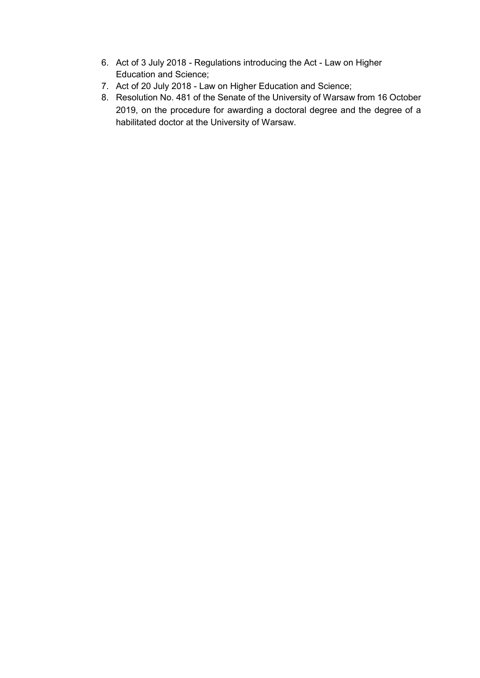- 6. Act of 3 July 2018 Regulations introducing the Act Law on Higher Education and Science;
- 7. Act of 20 July 2018 Law on Higher Education and Science;
- 8. Resolution No. 481 of the Senate of the University of Warsaw from 16 October 2019, on the procedure for awarding a doctoral degree and the degree of a habilitated doctor at the University of Warsaw.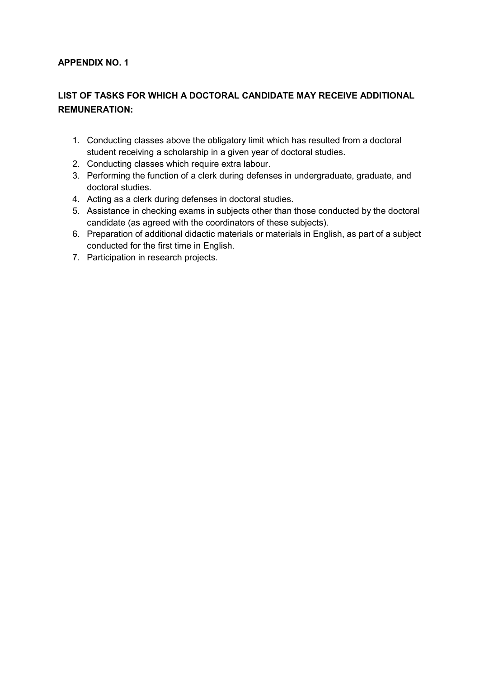### **APPENDIX NO. 1**

# **LIST OF TASKS FOR WHICH A DOCTORAL CANDIDATE MAY RECEIVE ADDITIONAL REMUNERATION:**

- 1. Conducting classes above the obligatory limit which has resulted from a doctoral student receiving a scholarship in a given year of doctoral studies.
- 2. Conducting classes which require extra labour.
- 3. Performing the function of a clerk during defenses in undergraduate, graduate, and doctoral studies.
- 4. Acting as a clerk during defenses in doctoral studies.
- 5. Assistance in checking exams in subjects other than those conducted by the doctoral candidate (as agreed with the coordinators of these subjects).
- 6. Preparation of additional didactic materials or materials in English, as part of a subject conducted for the first time in English.
- 7. Participation in research projects.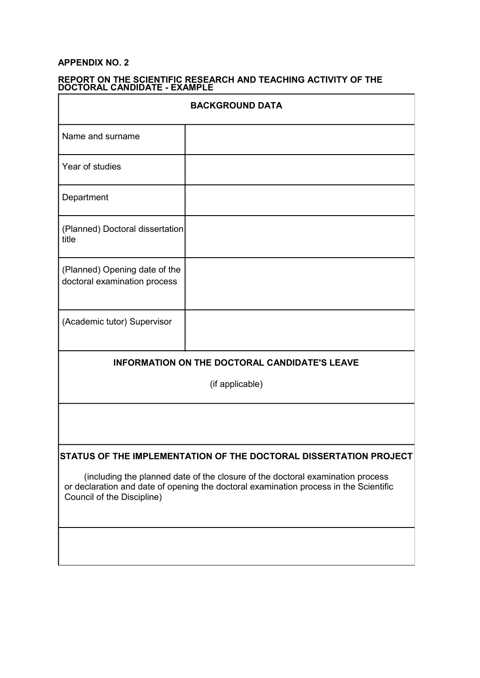#### **APPENDIX NO. 2**

| <b>BACKGROUND DATA</b>                                                                                                                                                                                |  |  |
|-------------------------------------------------------------------------------------------------------------------------------------------------------------------------------------------------------|--|--|
| Name and surname                                                                                                                                                                                      |  |  |
| Year of studies                                                                                                                                                                                       |  |  |
| Department                                                                                                                                                                                            |  |  |
| (Planned) Doctoral dissertation<br>title                                                                                                                                                              |  |  |
| (Planned) Opening date of the<br>doctoral examination process                                                                                                                                         |  |  |
| (Academic tutor) Supervisor                                                                                                                                                                           |  |  |
| <b>INFORMATION ON THE DOCTORAL CANDIDATE'S LEAVE</b>                                                                                                                                                  |  |  |
| (if applicable)                                                                                                                                                                                       |  |  |
|                                                                                                                                                                                                       |  |  |
| STATUS OF THE IMPLEMENTATION OF THE DOCTORAL DISSERTATION PROJECT                                                                                                                                     |  |  |
| (including the planned date of the closure of the doctoral examination process<br>or declaration and date of opening the doctoral examination process in the Scientific<br>Council of the Discipline) |  |  |
|                                                                                                                                                                                                       |  |  |

# **REPORT ON THE SCIENTIFIC RESEARCH AND TEACHING ACTIVITY OF THE**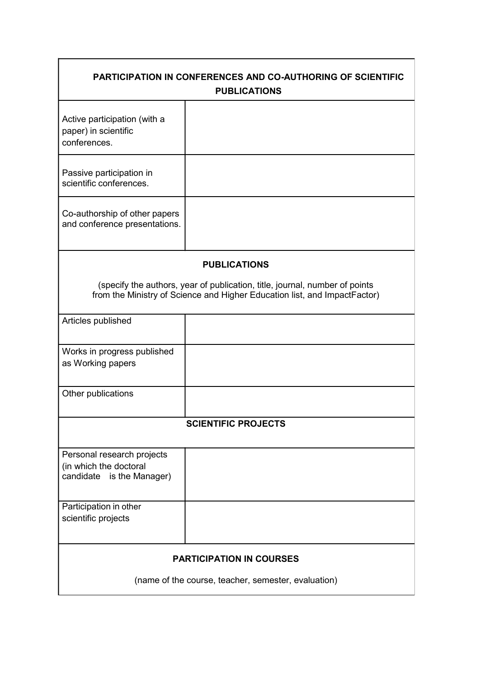| <b>PARTICIPATION IN CONFERENCES AND CO-AUTHORING OF SCIENTIFIC</b>          |                                                                           |  |
|-----------------------------------------------------------------------------|---------------------------------------------------------------------------|--|
| <b>PUBLICATIONS</b>                                                         |                                                                           |  |
|                                                                             |                                                                           |  |
| Active participation (with a<br>paper) in scientific                        |                                                                           |  |
| conferences.                                                                |                                                                           |  |
|                                                                             |                                                                           |  |
| Passive participation in                                                    |                                                                           |  |
| scientific conferences.                                                     |                                                                           |  |
|                                                                             |                                                                           |  |
| Co-authorship of other papers<br>and conference presentations.              |                                                                           |  |
|                                                                             |                                                                           |  |
|                                                                             |                                                                           |  |
| <b>PUBLICATIONS</b>                                                         |                                                                           |  |
| (specify the authors, year of publication, title, journal, number of points |                                                                           |  |
|                                                                             | from the Ministry of Science and Higher Education list, and ImpactFactor) |  |
|                                                                             |                                                                           |  |
| Articles published                                                          |                                                                           |  |
|                                                                             |                                                                           |  |
| Works in progress published                                                 |                                                                           |  |
| as Working papers                                                           |                                                                           |  |
|                                                                             |                                                                           |  |
| Other publications                                                          |                                                                           |  |
|                                                                             |                                                                           |  |
| <b>SCIENTIFIC PROJECTS</b>                                                  |                                                                           |  |
|                                                                             |                                                                           |  |
| Personal research projects                                                  |                                                                           |  |
| (in which the doctoral<br>candidate is the Manager)                         |                                                                           |  |
|                                                                             |                                                                           |  |
| Participation in other                                                      |                                                                           |  |
| scientific projects                                                         |                                                                           |  |
|                                                                             |                                                                           |  |
|                                                                             |                                                                           |  |
| <b>PARTICIPATION IN COURSES</b>                                             |                                                                           |  |
| (name of the course, teacher, semester, evaluation)                         |                                                                           |  |
|                                                                             |                                                                           |  |